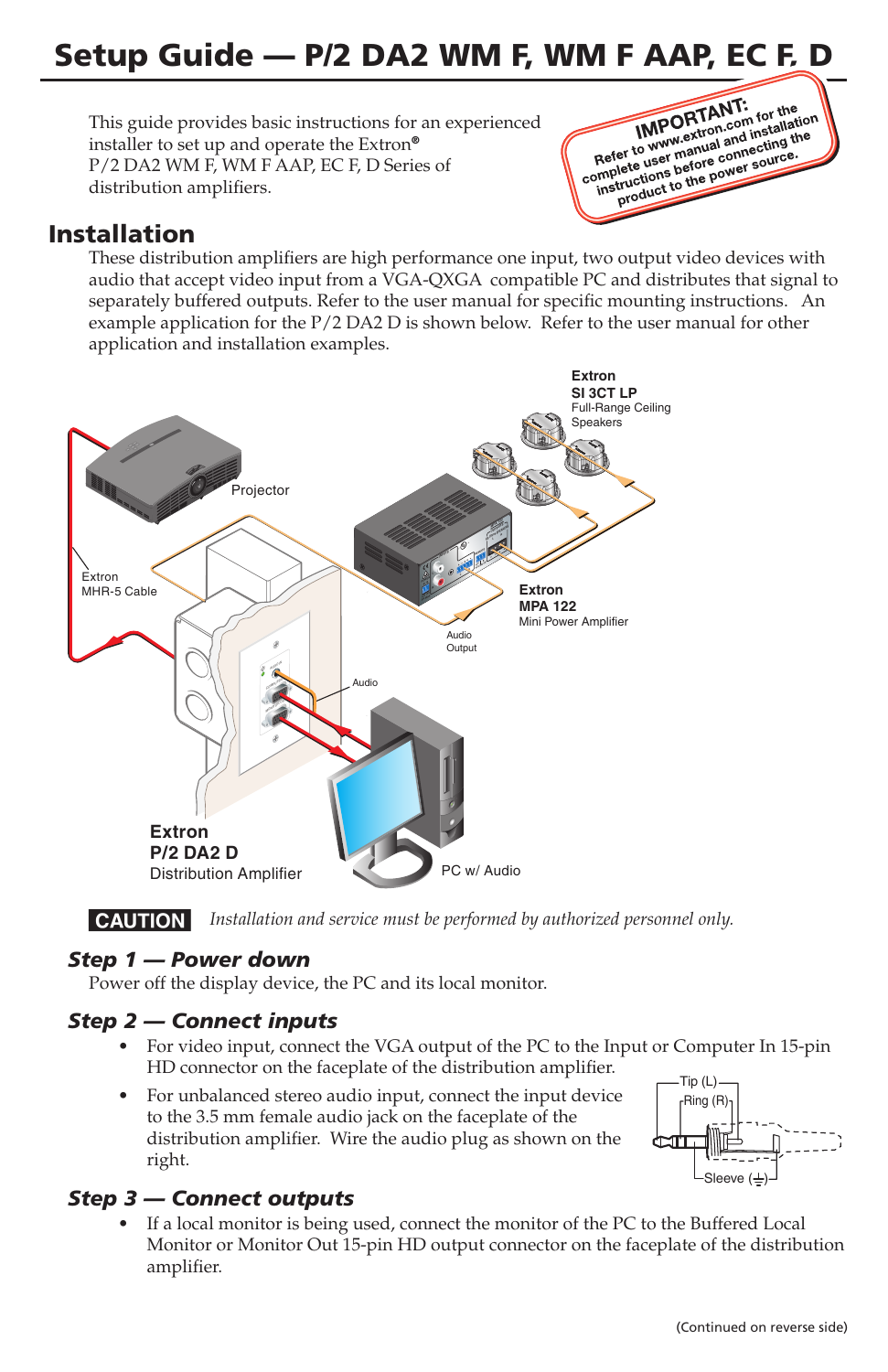# Setup Guide — P/2 DA2 WM F, WM F AAP, EC F, D

This guide provides basic instructions for an experienced installer to set up and operate the Extron® P/2 DA2 WM F, WM F AAP, EC F, D Series of distribution amplifiers.



## Installation

These distribution amplifiers are high performance one input, two output video devices with audio that accept video input from a VGA-QXGA compatible PC and distributes that signal to separately buffered outputs. Refer to the user manual for specific mounting instructions. An example application for the P/2 DA2 D is shown below. Refer to the user manual for other application and installation examples.



**CAUTION** Installation and service must be performed by authorized personnel only.

#### *Step 1 — Power down*

Power off the display device, the PC and its local monitor.

#### *Step 2 — Connect inputs*

- For video input, connect the VGA output of the PC to the Input or Computer In 15-pin HD connector on the faceplate of the distribution amplifier.
- For unbalanced stereo audio input, connect the input device to the 3.5 mm female audio jack on the faceplate of the distribution amplifier. Wire the audio plug as shown on the right.



#### *Step 3 — Connect outputs*

If a local monitor is being used, connect the monitor of the PC to the Buffered Local Monitor or Monitor Out 15-pin HD output connector on the faceplate of the distribution amplifier.